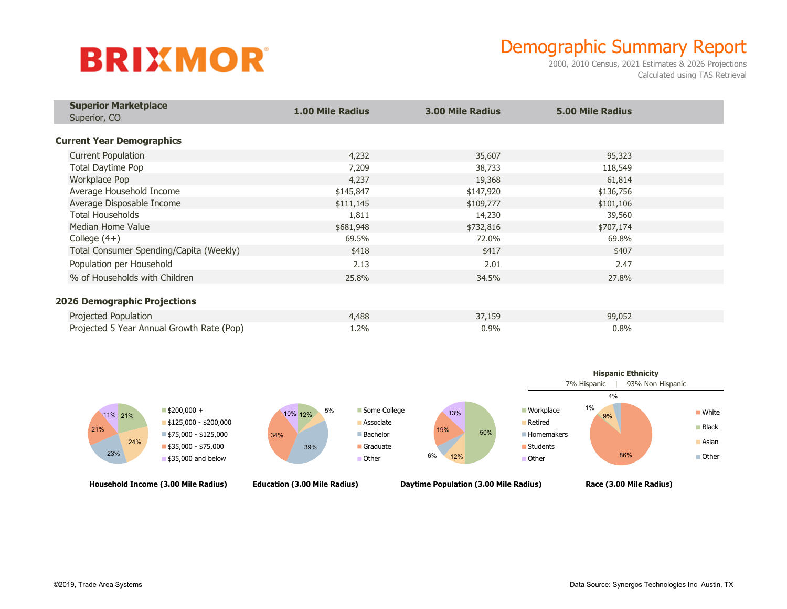## **BRIXMOR**

## Demographic Summary Report

2000, 2010 Census, 2021 Estimates & 2026 Projections Calculated using TAS Retrieval

| <b>Superior Marketplace</b><br>Superior, CO | <b>1.00 Mile Radius</b> | <b>3.00 Mile Radius</b> | <b>5.00 Mile Radius</b> |  |
|---------------------------------------------|-------------------------|-------------------------|-------------------------|--|
|                                             |                         |                         |                         |  |
| <b>Current Year Demographics</b>            |                         |                         |                         |  |
| <b>Current Population</b>                   | 4,232                   | 35,607                  | 95,323                  |  |
| Total Daytime Pop                           | 7,209                   | 38,733                  | 118,549                 |  |
| Workplace Pop                               | 4,237                   | 19,368                  | 61,814                  |  |
| Average Household Income                    | \$145,847               | \$147,920               | \$136,756               |  |
| Average Disposable Income                   | \$111,145               | \$109,777               | \$101,106               |  |
| <b>Total Households</b>                     | 1,811                   | 14,230                  | 39,560                  |  |
| Median Home Value                           | \$681,948               | \$732,816               | \$707,174               |  |
| College $(4+)$                              | 69.5%                   | 72.0%                   | 69.8%                   |  |
| Total Consumer Spending/Capita (Weekly)     | \$418                   | \$417                   | \$407                   |  |
| Population per Household                    | 2.13                    | 2.01                    | 2.47                    |  |
| % of Households with Children               | 25.8%                   | 34.5%                   | 27.8%                   |  |
|                                             |                         |                         |                         |  |
| <b>2026 Demographic Projections</b>         |                         |                         |                         |  |
| Projected Population                        | 4,488                   | 37,159                  | 99,052                  |  |
| Projected 5 Year Annual Growth Rate (Pop)   | 1.2%                    | 0.9%                    | 0.8%                    |  |